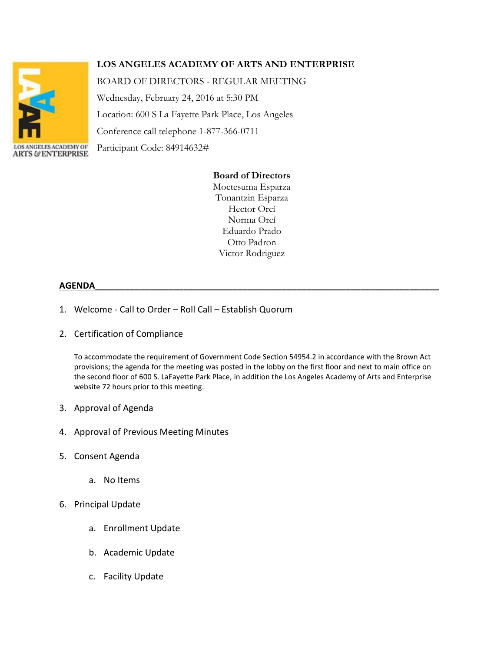

# **LOS ANGELES ACADEMY OF ARTS AND ENTERPRISE**

BOARD OF DIRECTORS - REGULAR MEETING

Wednesday, February 24, 2016 at 5:30 PM Location: 600 S La Fayette Park Place, Los Angeles Conference call telephone 1-877-366-0711 Participant Code: 84914632#

## **Board of Directors**

Moctesuma Esparza Tonantzin Esparza Hector Orcí Norma Orcí Eduardo Prado Otto Padron Victor Rodriguez

## **AGENDA\_\_\_\_\_\_\_\_\_\_\_\_\_\_\_\_\_\_\_\_\_\_\_\_\_\_\_\_\_\_\_\_\_\_\_\_\_\_\_\_\_\_\_\_\_\_\_\_\_\_\_\_\_\_\_\_\_\_\_\_\_\_\_\_\_\_\_\_\_\_**

- 1. Welcome Call to Order Roll Call Establish Quorum
- 2. Certification of Compliance

To accommodate the requirement of Government Code Section 54954.2 in accordance with the Brown Act provisions; the agenda for the meeting was posted in the lobby on the first floor and next to main office on the second floor of 600 S. LaFayette Park Place, in addition the Los Angeles Academy of Arts and Enterprise website 72 hours prior to this meeting.

- 3. Approval of Agenda
- 4. Approval of Previous Meeting Minutes
- 5. Consent Agenda
	- a. No Items
- 6. Principal Update
	- a. Enrollment Update
	- b. Academic Update
	- c. Facility Update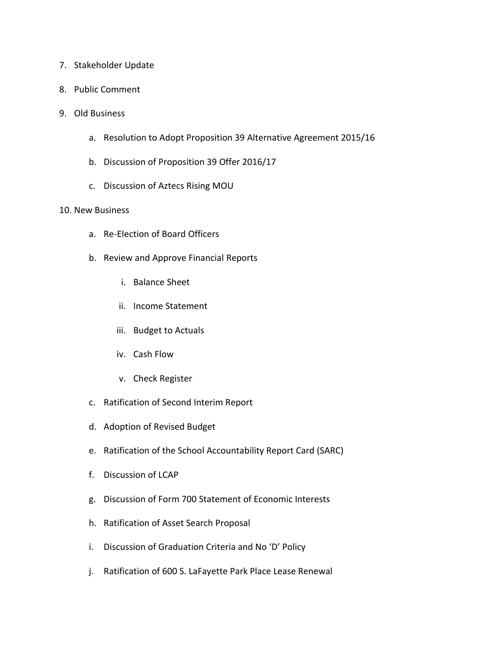- 7. Stakeholder Update
- 8. Public Comment
- 9. Old Business
	- a. Resolution to Adopt Proposition 39 Alternative Agreement 2015/16
	- b. Discussion of Proposition 39 Offer 2016/17
	- c. Discussion of Aztecs Rising MOU

#### 10. New Business

- a. Re-Election of Board Officers
- b. Review and Approve Financial Reports
	- i. Balance Sheet
	- ii. Income Statement
	- iii. Budget to Actuals
	- iv. Cash Flow
	- v. Check Register
- c. Ratification of Second Interim Report
- d. Adoption of Revised Budget
- e. Ratification of the School Accountability Report Card (SARC)
- f. Discussion of LCAP
- g. Discussion of Form 700 Statement of Economic Interests
- h. Ratification of Asset Search Proposal
- i. Discussion of Graduation Criteria and No 'D' Policy
- j. Ratification of 600 S. LaFayette Park Place Lease Renewal